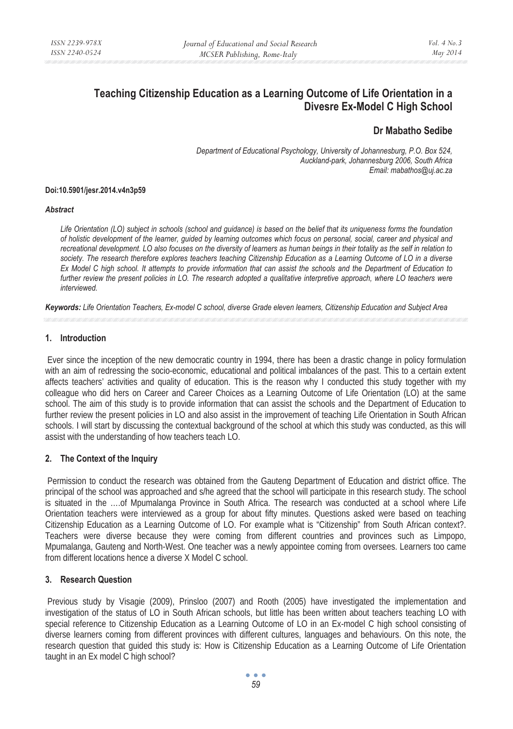# **Teaching Citizenship Education as a Learning Outcome of Life Orientation in a Divesre Ex-Model C High School**

## **Dr Mabatho Sedibe**

*Department of Educational Psychology, University of Johannesburg, P.O. Box 524, Auckland-park, Johannesburg 2006, South Africa Email: mabathos@uj.ac.za* 

#### **Doi:10.5901/jesr.2014.v4n3p59**

#### *Abstract*

*Life Orientation (LO) subject in schools (school and guidance) is based on the belief that its uniqueness forms the foundation of holistic development of the learner, guided by learning outcomes which focus on personal, social, career and physical and recreational development. LO also focuses on the diversity of learners as human beings in their totality as the self in relation to society. The research therefore explores teachers teaching Citizenship Education as a Learning Outcome of LO in a diverse Ex Model C high school. It attempts to provide information that can assist the schools and the Department of Education to*  further review the present policies in LO. The research adopted a qualitative interpretive approach, where LO teachers were *interviewed.* 

*Keywords: Life Orientation Teachers, Ex-model C school, diverse Grade eleven learners, Citizenship Education and Subject Area* 

## **1. Introduction**

 Ever since the inception of the new democratic country in 1994, there has been a drastic change in policy formulation with an aim of redressing the socio-economic, educational and political imbalances of the past. This to a certain extent affects teachers' activities and quality of education. This is the reason why I conducted this study together with my colleague who did hers on Career and Career Choices as a Learning Outcome of Life Orientation (LO) at the same school. The aim of this study is to provide information that can assist the schools and the Department of Education to further review the present policies in LO and also assist in the improvement of teaching Life Orientation in South African schools. I will start by discussing the contextual background of the school at which this study was conducted, as this will assist with the understanding of how teachers teach LO.

## **2. The Context of the Inquiry**

 Permission to conduct the research was obtained from the Gauteng Department of Education and district office. The principal of the school was approached and s/he agreed that the school will participate in this research study. The school is situated in the ….of Mpumalanga Province in South Africa. The research was conducted at a school where Life Orientation teachers were interviewed as a group for about fifty minutes. Questions asked were based on teaching Citizenship Education as a Learning Outcome of LO. For example what is "Citizenship" from South African context?. Teachers were diverse because they were coming from different countries and provinces such as Limpopo, Mpumalanga, Gauteng and North-West. One teacher was a newly appointee coming from oversees. Learners too came from different locations hence a diverse X Model C school.

## **3. Research Question**

 Previous study by Visagie (2009), Prinsloo (2007) and Rooth (2005) have investigated the implementation and investigation of the status of LO in South African schools, but little has been written about teachers teaching LO with special reference to Citizenship Education as a Learning Outcome of LO in an Ex-model C high school consisting of diverse learners coming from different provinces with different cultures, languages and behaviours. On this note, the research question that guided this study is: How is Citizenship Education as a Learning Outcome of Life Orientation taught in an Ex model C high school?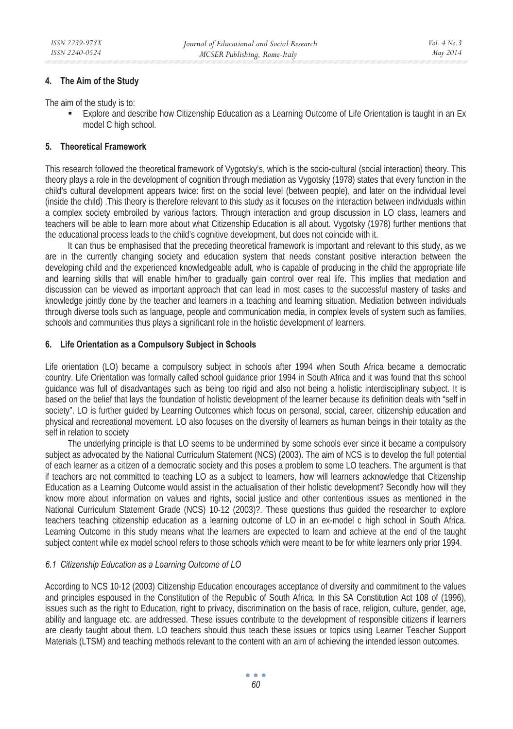#### **4. The Aim of the Study**

The aim of the study is to:

 Explore and describe how Citizenship Education as a Learning Outcome of Life Orientation is taught in an Ex model C high school.

#### **5. Theoretical Framework**

This research followed the theoretical framework of Vygotsky's, which is the socio-cultural (social interaction) theory. This theory plays a role in the development of cognition through mediation as Vygotsky (1978) states that every function in the child's cultural development appears twice: first on the social level (between people), and later on the individual level (inside the child) .This theory is therefore relevant to this study as it focuses on the interaction between individuals within a complex society embroiled by various factors. Through interaction and group discussion in LO class, learners and teachers will be able to learn more about what Citizenship Education is all about. Vygotsky (1978) further mentions that the educational process leads to the child's cognitive development, but does not coincide with it.

It can thus be emphasised that the preceding theoretical framework is important and relevant to this study, as we are in the currently changing society and education system that needs constant positive interaction between the developing child and the experienced knowledgeable adult, who is capable of producing in the child the appropriate life and learning skills that will enable him/her to gradually gain control over real life. This implies that mediation and discussion can be viewed as important approach that can lead in most cases to the successful mastery of tasks and knowledge jointly done by the teacher and learners in a teaching and learning situation. Mediation between individuals through diverse tools such as language, people and communication media, in complex levels of system such as families, schools and communities thus plays a significant role in the holistic development of learners.

#### **6. Life Orientation as a Compulsory Subject in Schools**

Life orientation (LO) became a compulsory subject in schools after 1994 when South Africa became a democratic country. Life Orientation was formally called school guidance prior 1994 in South Africa and it was found that this school guidance was full of disadvantages such as being too rigid and also not being a holistic interdisciplinary subject. It is based on the belief that lays the foundation of holistic development of the learner because its definition deals with "self in society". LO is further guided by Learning Outcomes which focus on personal, social, career, citizenship education and physical and recreational movement. LO also focuses on the diversity of learners as human beings in their totality as the self in relation to society

The underlying principle is that LO seems to be undermined by some schools ever since it became a compulsory subject as advocated by the National Curriculum Statement (NCS) (2003). The aim of NCS is to develop the full potential of each learner as a citizen of a democratic society and this poses a problem to some LO teachers. The argument is that if teachers are not committed to teaching LO as a subject to learners, how will learners acknowledge that Citizenship Education as a Learning Outcome would assist in the actualisation of their holistic development? Secondly how will they know more about information on values and rights, social justice and other contentious issues as mentioned in the National Curriculum Statement Grade (NCS) 10-12 (2003)?. These questions thus guided the researcher to explore teachers teaching citizenship education as a learning outcome of LO in an ex-model c high school in South Africa. Learning Outcome in this study means what the learners are expected to learn and achieve at the end of the taught subject content while ex model school refers to those schools which were meant to be for white learners only prior 1994.

#### *6.1 Citizenship Education as a Learning Outcome of LO*

According to NCS 10-12 (2003) Citizenship Education encourages acceptance of diversity and commitment to the values and principles espoused in the Constitution of the Republic of South Africa. In this SA Constitution Act 108 of (1996), issues such as the right to Education, right to privacy, discrimination on the basis of race, religion, culture, gender, age, ability and language etc. are addressed. These issues contribute to the development of responsible citizens if learners are clearly taught about them. LO teachers should thus teach these issues or topics using Learner Teacher Support Materials (LTSM) and teaching methods relevant to the content with an aim of achieving the intended lesson outcomes.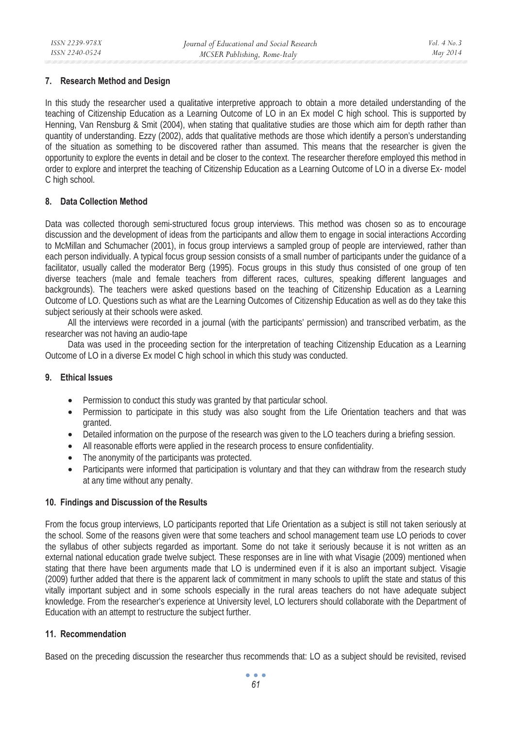## **7. Research Method and Design**

In this study the researcher used a qualitative interpretive approach to obtain a more detailed understanding of the teaching of Citizenship Education as a Learning Outcome of LO in an Ex model C high school. This is supported by Henning, Van Rensburg & Smit (2004), when stating that qualitative studies are those which aim for depth rather than quantity of understanding. Ezzy (2002), adds that qualitative methods are those which identify a person's understanding of the situation as something to be discovered rather than assumed. This means that the researcher is given the opportunity to explore the events in detail and be closer to the context. The researcher therefore employed this method in order to explore and interpret the teaching of Citizenship Education as a Learning Outcome of LO in a diverse Ex- model C high school.

## **8. Data Collection Method**

Data was collected thorough semi-structured focus group interviews. This method was chosen so as to encourage discussion and the development of ideas from the participants and allow them to engage in social interactions According to McMillan and Schumacher (2001), in focus group interviews a sampled group of people are interviewed, rather than each person individually. A typical focus group session consists of a small number of participants under the guidance of a facilitator, usually called the moderator Berg (1995). Focus groups in this study thus consisted of one group of ten diverse teachers (male and female teachers from different races, cultures, speaking different languages and backgrounds). The teachers were asked questions based on the teaching of Citizenship Education as a Learning Outcome of LO. Questions such as what are the Learning Outcomes of Citizenship Education as well as do they take this subject seriously at their schools were asked.

All the interviews were recorded in a journal (with the participants' permission) and transcribed verbatim, as the researcher was not having an audio-tape

Data was used in the proceeding section for the interpretation of teaching Citizenship Education as a Learning Outcome of LO in a diverse Ex model C high school in which this study was conducted.

#### **9. Ethical Issues**

- Permission to conduct this study was granted by that particular school.
- Permission to participate in this study was also sought from the Life Orientation teachers and that was granted.
- Detailed information on the purpose of the research was given to the LO teachers during a briefing session.
- All reasonable efforts were applied in the research process to ensure confidentiality.
- The anonymity of the participants was protected.
- Participants were informed that participation is voluntary and that they can withdraw from the research study at any time without any penalty.

#### **10. Findings and Discussion of the Results**

From the focus group interviews, LO participants reported that Life Orientation as a subject is still not taken seriously at the school. Some of the reasons given were that some teachers and school management team use LO periods to cover the syllabus of other subjects regarded as important. Some do not take it seriously because it is not written as an external national education grade twelve subject. These responses are in line with what Visagie (2009) mentioned when stating that there have been arguments made that LO is undermined even if it is also an important subject. Visagie (2009) further added that there is the apparent lack of commitment in many schools to uplift the state and status of this vitally important subject and in some schools especially in the rural areas teachers do not have adequate subject knowledge. From the researcher's experience at University level, LO lecturers should collaborate with the Department of Education with an attempt to restructure the subject further.

## **11. Recommendation**

Based on the preceding discussion the researcher thus recommends that: LO as a subject should be revisited, revised